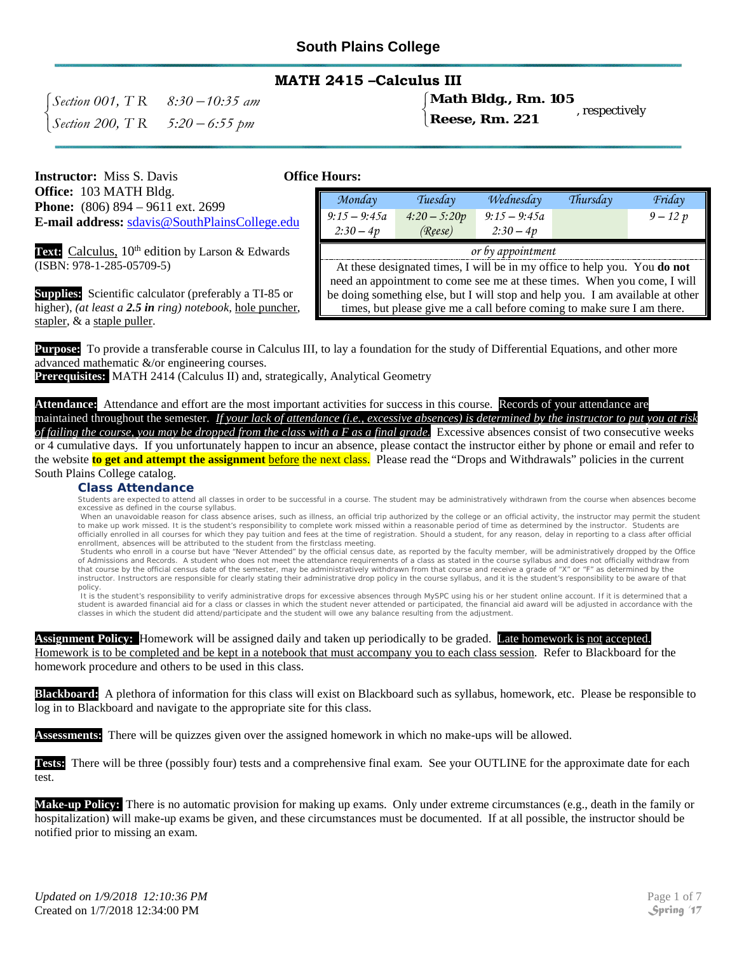### **MATH 2415 –Calculus III**

 <sup>−</sup> *Section 001, T R 8:30 10:35 am* − *Section 200, T R 5:20 6:55 pm*

#### $\int$ }<br>} **Math Bldg., Rm. 105**

 $\mathfrak{l}$ 

**Reese, Rm. 221** , respectively

**Instructor:** Miss S. Davis **Office Hours: Office:** 103 MATH Bldg. **Phone:** (806) 894 – 9611 ext. 2699 **E-mail address:** [sdavis@SouthPlainsCollege.edu](mailto:sdavis@spc.cc.tx.us)

Text: Calculus, 10<sup>th</sup> edition by Larson & Edwards (ISBN: 978-1-285-05709-5)

**Supplies:** Scientific calculator (preferably a TI-85 or higher), *(at least a 2.5 in ring) notebook,* hole puncher, stapler, & a staple puller.

| Monday                                                                         | Tuesday        | Wednesday      | Thursday | Friday     |  |
|--------------------------------------------------------------------------------|----------------|----------------|----------|------------|--|
| $9:15 - 9:45a$                                                                 | $4:20 - 5:20p$ | $9:15 - 9:45a$ |          | $9 - 12 p$ |  |
| $2:30-4p$                                                                      | (Reese)        | $2:30-4p$      |          |            |  |
| or by appointment                                                              |                |                |          |            |  |
| At these designated times, I will be in my office to help you. You do not      |                |                |          |            |  |
| need an appointment to come see me at these times. When you come, I will       |                |                |          |            |  |
| be doing something else, but I will stop and help you. I am available at other |                |                |          |            |  |
| times, but please give me a call before coming to make sure I am there.        |                |                |          |            |  |

**Purpose:** To provide a transferable course in Calculus III, to lay a foundation for the study of Differential Equations, and other more advanced mathematic &/or engineering courses.

**Prerequisites:** MATH 2414 (Calculus II) and, strategically, Analytical Geometry

Attendance: Attendance and effort are the most important activities for success in this course. Records of your attendance are

maintained throughout the semester. *If your lack of attendance (i.e., excessive absences) is determined by the instructor to put you at risk of failing the course, you may be dropped from the class with a F as a final grade.* Excessive absences consist of two consecutive weeks or 4 cumulative days. If you unfortunately happen to incur an absence, please contact the instructor either by phone or email and refer to the website **to get and attempt the assignment** before the next class. Please read the "Drops and Withdrawals" policies in the current South Plains College catalog.

#### **Class Attendance**

Students are expected to attend all classes in order to be successful in a course. The student may be administratively withdrawn from the course when absences become excessive as defined in the course syllabus.

When an unavoidable reason for class absence arises, such as illness, an official trip authorized by the college or an official activity, the instructor may permit the student to make up work missed. It is the student's responsibility to complete work missed within a reasonable period of time as determined by the instructor. Students are officially enrolled in all courses for which they pay tuition and fees at the time of registration. Should a student, for any reason, delay in reporting to a class after official enrollment, absences will be attributed to the student from the firstclass meeting.

Students who enroll in a course but have "Never Attended" by the official census date, as reported by the faculty member, will be administratively dropped by the Office of Admissions and Records. A student who does not meet the attendance requirements of a class as stated in the course syllabus and does not officially withdraw from that course by the official census date of the semester, may be administratively withdrawn from that course and receive a grade of "X" or "F" as determined by the instructor. Instructors are responsible for clearly stating their administrative drop policy in the course syllabus, and it is the student's responsibility to be aware of that policy.

It is the student's responsibility to verify administrative drops for excessive absences through MySPC using his or her student online account. If it is determined that a student is awarded financial aid for a class or classes in which the student never attended or participated, the financial aid award will be adjusted in accordance with the classes in which the student did attend/participate and the student will owe any balance resulting from the adjustment.

#### **Assignment Policy:** Homework will be assigned daily and taken up periodically to be graded. Late homework is not accepted. Homework is to be completed and be kept in a notebook that must accompany you to each class session. Refer to Blackboard for the homework procedure and others to be used in this class.

**Blackboard:** A plethora of information for this class will exist on Blackboard such as syllabus, homework, etc. Please be responsible to log in to Blackboard and navigate to the appropriate site for this class.

**Assessments:** There will be quizzes given over the assigned homework in which no make-ups will be allowed.

**Tests:** There will be three (possibly four) tests and a comprehensive final exam. See your OUTLINE for the approximate date for each test.

**Make-up Policy:** There is no automatic provision for making up exams. Only under extreme circumstances (e.g., death in the family or hospitalization) will make-up exams be given, and these circumstances must be documented. If at all possible, the instructor should be notified prior to missing an exam.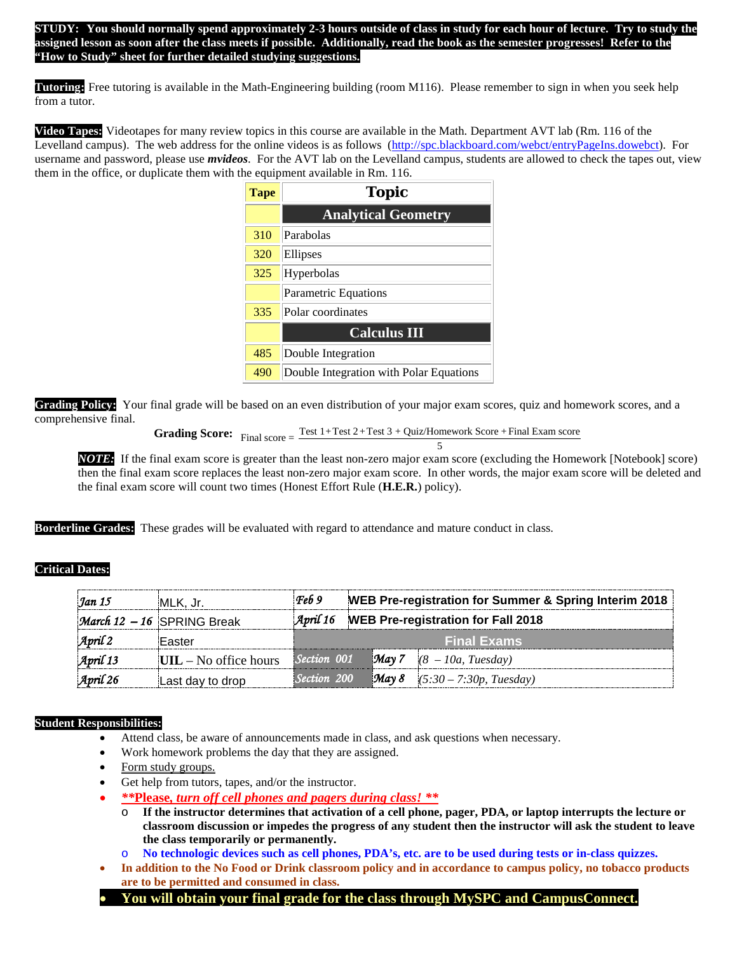**STUDY: You should normally spend approximately 2-3 hours outside of class in study for each hour of lecture. Try to study the assigned lesson as soon after the class meets if possible. Additionally, read the book as the semester progresses! Refer to the "How to Study" sheet for further detailed studying suggestions.**

**Tutoring:** Free tutoring is available in the Math-Engineering building (room M116). Please remember to sign in when you seek help from a tutor.

**Video Tapes:** Videotapes for many review topics in this course are available in the Math. Department AVT lab (Rm. 116 of the Levelland campus). The web address for the online videos is as follows [\(http://spc.blackboard.com/webct/entryPageIns.dowebct\)](http://spc.blackboard.com/webct/entryPageIns.dowebct). For username and password, please use *mvideos*.For the AVT lab on the Levelland campus, students are allowed to check the tapes out, view them in the office, or duplicate them with the equipment available in Rm. 116.

| <b>Tape</b> | <b>Topic</b>                            |  |  |  |
|-------------|-----------------------------------------|--|--|--|
|             | <b>Analytical Geometry</b>              |  |  |  |
| 310         | Parabolas                               |  |  |  |
| 320         | Ellipses                                |  |  |  |
| 325         | Hyperbolas                              |  |  |  |
|             | <b>Parametric Equations</b>             |  |  |  |
| 335         | Polar coordinates                       |  |  |  |
|             | <b>Calculus III</b>                     |  |  |  |
| 485         | Double Integration                      |  |  |  |
| 490         | Double Integration with Polar Equations |  |  |  |

**Grading Policy:** Your final grade will be based on an even distribution of your major exam scores, quiz and homework scores, and a comprehensive final.

```
Grading Score: Final score = \frac{\text{Test } 1 + \text{Test } 2 + \text{Test } 3 + \text{Quiz/Homework Score} + \text{Final Exam score}}{P}
```
5 *NOTE:* If the final exam score is greater than the least non-zero major exam score (excluding the Homework [Notebook] score) then the final exam score replaces the least non-zero major exam score. In other words, the major exam score will be deleted and the final exam score will count two times (Honest Effort Rule (**H.E.R.**) policy).

**Borderline Grades:** These grades will be evaluated with regard to attendance and mature conduct in class.

#### **Critical Dates:**

| Jan 15                | MLK. Jr.                                  | Feb9        |  | WEB Pre-registration for Summer & Spring Interim 2018 |
|-----------------------|-------------------------------------------|-------------|--|-------------------------------------------------------|
|                       | <i>March</i> $12 - 16$ SPRING Break       |             |  | April 16 WEB Pre-registration for Fall 2018           |
| $\mathcal{A}$ pril 2  | Easter                                    |             |  | <b>Final Exams</b>                                    |
| $\mathcal{A}$ pril 13 | $\mathbf{UIL} - \mathbf{No}$ office hours | Section 001 |  | $\blacksquare$ May 7 $(8 - 10a, \text{ Tuesday})$     |
| $\mathcal{A}$ pril 26 | Last day to drop                          | Section 200 |  | <b>May 8</b> $(5:30 - 7:30p, Tuesday)$                |

#### **Student Responsibilities:**

- Attend class, be aware of announcements made in class, and ask questions when necessary.
- Work homework problems the day that they are assigned.
- Form study groups.
- Get help from tutors, tapes, and/or the instructor.
- *\*\****Please***, turn off cell phones and pagers during class! \*\**
	- If the instructor determines that activation of a cell phone, pager, PDA, or laptop interrupts the lecture or **classroom discussion or impedes the progress of any student then the instructor will ask the student to leave the class temporarily or permanently.**
	- o **No technologic devices such as cell phones, PDA's, etc. are to be used during tests or in-class quizzes.**
- **In addition to the No Food or Drink classroom policy and in accordance to campus policy, no tobacco products are to be permitted and consumed in class.**
- **You will obtain your final grade for the class through MySPC and CampusConnect.**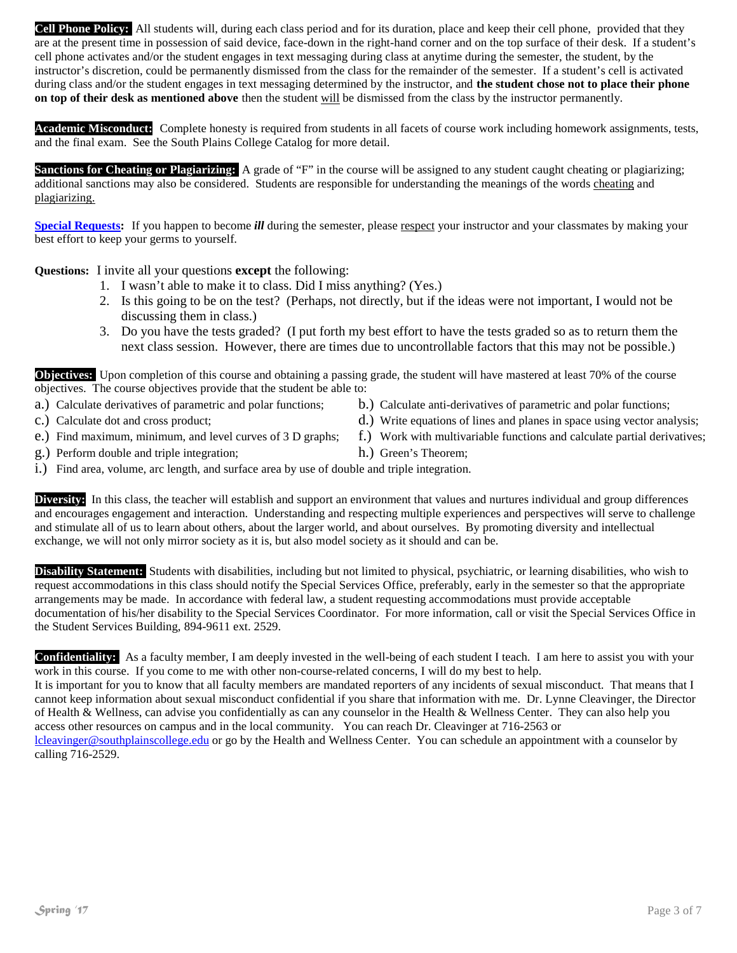**Academic Misconduct:** Complete honesty is required from students in all facets of course work including homework assignments, tests, and the final exam. See the South Plains College Catalog for more detail.

**Sanctions for Cheating or Plagiarizing:** A grade of "F" in the course will be assigned to any student caught cheating or plagiarizing; additional sanctions may also be considered. Students are responsible for understanding the meanings of the words cheating and plagiarizing.

**Special Requests:** If you happen to become *ill* during the semester, please respect your instructor and your classmates by making your best effort to keep your germs to yourself.

**Questions:** I invite all your questions **except** the following:

- 1. I wasn't able to make it to class. Did I miss anything? (Yes.)
- 2. Is this going to be on the test? (Perhaps, not directly, but if the ideas were not important, I would not be discussing them in class.)
- 3. Do you have the tests graded? (I put forth my best effort to have the tests graded so as to return them the next class session. However, there are times due to uncontrollable factors that this may not be possible.)

**Objectives:** Upon completion of this course and obtaining a passing grade, the student will have mastered at least 70% of the course objectives. The course objectives provide that the student be able to:

- a.) Calculate derivatives of parametric and polar functions; b.) Calculate anti-derivatives of parametric and polar functions;
- 
- 
- g.) Perform double and triple integration; h.) Green's Theorem;
- i.) Find area, volume, arc length, and surface area by use of double and triple integration.

**Diversity:** In this class, the teacher will establish and support an environment that values and nurtures individual and group differences and encourages engagement and interaction. Understanding and respecting multiple experiences and perspectives will serve to challenge and stimulate all of us to learn about others, about the larger world, and about ourselves. By promoting diversity and intellectual exchange, we will not only mirror society as it is, but also model society as it should and can be.

**Disability Statement:** Students with disabilities, including but not limited to physical, psychiatric, or learning disabilities, who wish to request accommodations in this class should notify the Special Services Office, preferably, early in the semester so that the appropriate arrangements may be made. In accordance with federal law, a student requesting accommodations must provide acceptable documentation of his/her disability to the Special Services Coordinator. For more information, call or visit the Special Services Office in the Student Services Building, 894-9611 ext. 2529.

**Confidentiality:** As a faculty member, I am deeply invested in the well-being of each student I teach. I am here to assist you with your work in this course. If you come to me with other non-course-related concerns, I will do my best to help.

It is important for you to know that all faculty members are mandated reporters of any incidents of sexual misconduct. That means that I cannot keep information about sexual misconduct confidential if you share that information with me. Dr. Lynne Cleavinger, the Director of Health & Wellness, can advise you confidentially as can any counselor in the Health & Wellness Center. They can also help you access other resources on campus and in the local community. You can reach Dr. Cleavinger at 716-2563 or

[lcleavinger@southplainscollege.edu](mailto:lcleavinger@southplainscollege.edu) or go by the Health and Wellness Center. You can schedule an appointment with a counselor by calling 716-2529.

- 
- c.) Calculate dot and cross product; d. b. d.) Write equations of lines and planes in space using vector analysis;
- e.) Find maximum, minimum, and level curves of 3 D graphs; f.) Work with multivariable functions and calculate partial derivatives;
	-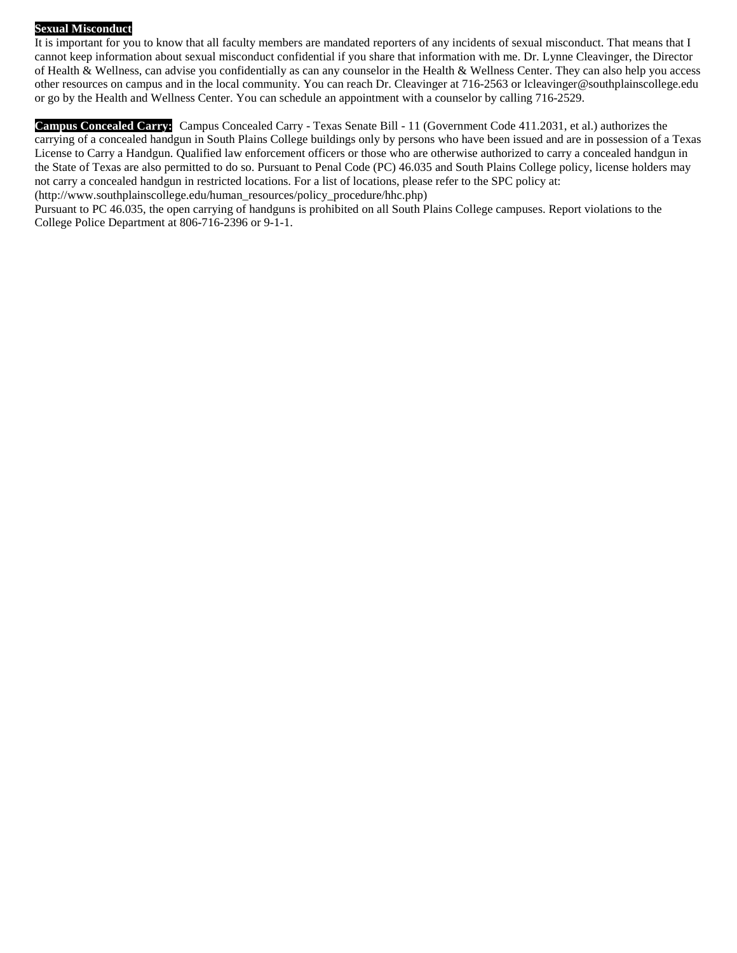#### **Sexual Misconduct**

It is important for you to know that all faculty members are mandated reporters of any incidents of sexual misconduct. That means that I cannot keep information about sexual misconduct confidential if you share that information with me. Dr. Lynne Cleavinger, the Director of Health & Wellness, can advise you confidentially as can any counselor in the Health & Wellness Center. They can also help you access other resources on campus and in the local community. You can reach Dr. Cleavinger at 716-2563 o[r lcleavinger@southplainscollege.edu](mailto:lcleavinger@southplainscollege.edu) or go by the Health and Wellness Center. You can schedule an appointment with a counselor by calling 716-2529.

**Campus Concealed Carry:** Campus Concealed Carry - Texas Senate Bill - 11 (Government Code 411.2031, et al.) authorizes the carrying of a concealed handgun in South Plains College buildings only by persons who have been issued and are in possession of a Texas License to Carry a Handgun. Qualified law enforcement officers or those who are otherwise authorized to carry a concealed handgun in the State of Texas are also permitted to do so. Pursuant to Penal Code (PC) 46.035 and South Plains College policy, license holders may not carry a concealed handgun in restricted locations. For a list of locations, please refer to the SPC policy at: [\(http://www.southplainscollege.edu/human\\_resources/policy\\_procedure/hhc.php\)](http://www.southplainscollege.edu/human_resources/policy_procedure/hhc.php)

Pursuant to PC 46.035, the open carrying of handguns is prohibited on all South Plains College campuses. Report violations to the College Police Department at 806-716-2396 or 9-1-1.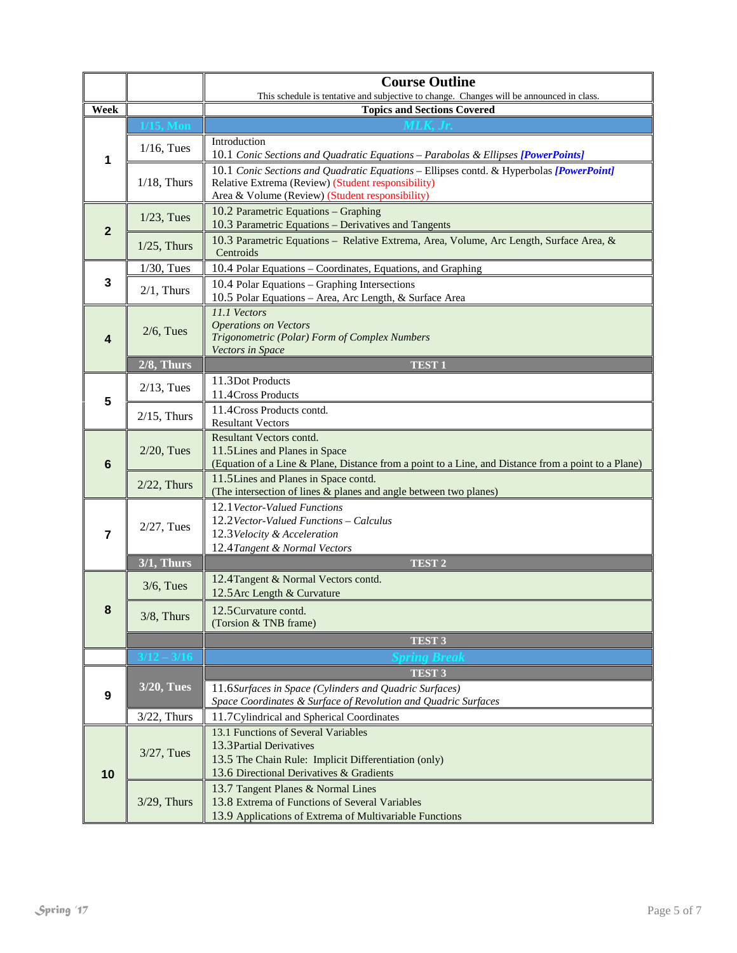|                 |                                                                                                                                                                                    | <b>Course Outline</b>                                                                                                                                                                            |  |  |  |  |
|-----------------|------------------------------------------------------------------------------------------------------------------------------------------------------------------------------------|--------------------------------------------------------------------------------------------------------------------------------------------------------------------------------------------------|--|--|--|--|
|                 |                                                                                                                                                                                    | This schedule is tentative and subjective to change. Changes will be announced in class.<br><b>Topics and Sections Covered</b>                                                                   |  |  |  |  |
| Week            |                                                                                                                                                                                    |                                                                                                                                                                                                  |  |  |  |  |
| 1               | $1/16$ , Tues                                                                                                                                                                      | Introduction<br>10.1 Conic Sections and Quadratic Equations - Parabolas & Ellipses [PowerPoints]                                                                                                 |  |  |  |  |
|                 | $1/18$ , Thurs                                                                                                                                                                     | 10.1 Conic Sections and Quadratic Equations - Ellipses contd. & Hyperbolas [PowerPoint]<br>Relative Extrema (Review) (Student responsibility)<br>Area & Volume (Review) (Student responsibility) |  |  |  |  |
| $\overline{2}$  | $1/23$ , Tues                                                                                                                                                                      | 10.2 Parametric Equations - Graphing<br>10.3 Parametric Equations - Derivatives and Tangents                                                                                                     |  |  |  |  |
|                 | $1/25$ , Thurs                                                                                                                                                                     | 10.3 Parametric Equations - Relative Extrema, Area, Volume, Arc Length, Surface Area, &<br>Centroids                                                                                             |  |  |  |  |
|                 | $1/30$ , Tues                                                                                                                                                                      | 10.4 Polar Equations - Coordinates, Equations, and Graphing                                                                                                                                      |  |  |  |  |
| 3               | $2/1$ , Thurs                                                                                                                                                                      | 10.4 Polar Equations - Graphing Intersections<br>10.5 Polar Equations - Area, Arc Length, & Surface Area                                                                                         |  |  |  |  |
| 4               | $2/6$ , Tues                                                                                                                                                                       | 11.1 Vectors<br><b>Operations on Vectors</b><br>Trigonometric (Polar) Form of Complex Numbers<br><b>Vectors</b> in Space                                                                         |  |  |  |  |
|                 | $2/8$ , Thurs                                                                                                                                                                      | <b>TEST1</b>                                                                                                                                                                                     |  |  |  |  |
| 5               | $2/13$ , Tues                                                                                                                                                                      | 11.3Dot Products<br>11.4 Cross Products                                                                                                                                                          |  |  |  |  |
|                 | $2/15$ , Thurs                                                                                                                                                                     | 11.4 Cross Products contd.<br><b>Resultant Vectors</b>                                                                                                                                           |  |  |  |  |
| $6\phantom{1}6$ | Resultant Vectors contd.<br>$2/20$ , Tues<br>11.5 Lines and Planes in Space<br>(Equation of a Line & Plane, Distance from a point to a Line, and Distance from a point to a Plane) |                                                                                                                                                                                                  |  |  |  |  |
|                 | $2/22$ , Thurs                                                                                                                                                                     | 11.5Lines and Planes in Space contd.<br>(The intersection of lines & planes and angle between two planes)                                                                                        |  |  |  |  |
| $\overline{7}$  | $2/27$ , Tues                                                                                                                                                                      | 12.1 Vector-Valued Functions<br>12.2 Vector-Valued Functions - Calculus<br>12.3 Velocity & Acceleration<br>12.4 Tangent & Normal Vectors                                                         |  |  |  |  |
|                 | $3/1$ , Thurs                                                                                                                                                                      | <b>TEST 2</b>                                                                                                                                                                                    |  |  |  |  |
|                 | $3/6$ , Tues                                                                                                                                                                       | 12.4 Tangent & Normal Vectors contd.<br>12.5 Arc Length & Curvature                                                                                                                              |  |  |  |  |
| 8               | $3/8$ , Thurs                                                                                                                                                                      | 12.5 Curvature contd.<br>(Torsion & TNB frame)                                                                                                                                                   |  |  |  |  |
|                 |                                                                                                                                                                                    | TEST <sub>3</sub>                                                                                                                                                                                |  |  |  |  |
|                 | $\sqrt{12} - 3/16$                                                                                                                                                                 |                                                                                                                                                                                                  |  |  |  |  |
|                 | <b>3/20, Tues</b>                                                                                                                                                                  | <b>TEST 3</b>                                                                                                                                                                                    |  |  |  |  |
| 9               |                                                                                                                                                                                    | 11.6Surfaces in Space (Cylinders and Quadric Surfaces)<br>Space Coordinates & Surface of Revolution and Quadric Surfaces                                                                         |  |  |  |  |
|                 | $3/22$ , Thurs                                                                                                                                                                     | 11.7 Cylindrical and Spherical Coordinates                                                                                                                                                       |  |  |  |  |
| 10              | $3/27$ , Tues                                                                                                                                                                      | 13.1 Functions of Several Variables<br>13.3 Partial Derivatives<br>13.5 The Chain Rule: Implicit Differentiation (only)                                                                          |  |  |  |  |
|                 | $3/29$ , Thurs                                                                                                                                                                     | 13.6 Directional Derivatives & Gradients<br>13.7 Tangent Planes & Normal Lines<br>13.8 Extrema of Functions of Several Variables<br>13.9 Applications of Extrema of Multivariable Functions      |  |  |  |  |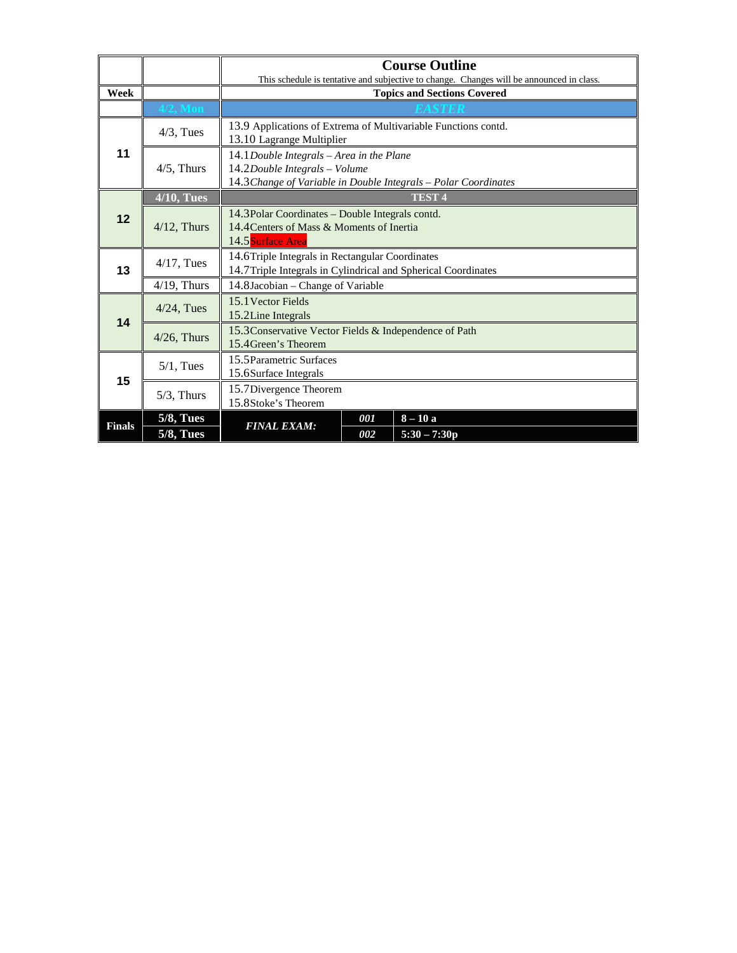|                 |                   | <b>Course Outline</b>                                                                                                                           |     |                |  |  |  |
|-----------------|-------------------|-------------------------------------------------------------------------------------------------------------------------------------------------|-----|----------------|--|--|--|
|                 |                   | This schedule is tentative and subjective to change. Changes will be announced in class.                                                        |     |                |  |  |  |
| Week            |                   | <b>Topics and Sections Covered</b>                                                                                                              |     |                |  |  |  |
|                 | 4/2, Mon          |                                                                                                                                                 |     |                |  |  |  |
| 11              | $4/3$ , Tues      | 13.9 Applications of Extrema of Multivariable Functions contd.<br>13.10 Lagrange Multiplier                                                     |     |                |  |  |  |
|                 | $4/5$ , Thurs     | $14.1$ Double Integrals - Area in the Plane<br>14.2Double Integrals - Volume<br>14.3 Change of Variable in Double Integrals - Polar Coordinates |     |                |  |  |  |
|                 | <b>4/10, Tues</b> |                                                                                                                                                 |     | <b>TEST 4</b>  |  |  |  |
| 12 <sub>2</sub> | $4/12$ , Thurs    | 14.3 Polar Coordinates – Double Integrals contd.<br>14.4 Centers of Mass & Moments of Inertia<br>14.5 Surface Area                              |     |                |  |  |  |
| 13              | $4/17$ , Tues     | 14.6Triple Integrals in Rectangular Coordinates<br>14.7Triple Integrals in Cylindrical and Spherical Coordinates                                |     |                |  |  |  |
|                 | $4/19$ , Thurs    | 14.8Jacobian – Change of Variable                                                                                                               |     |                |  |  |  |
| 14              | $4/24$ , Tues     | 15.1 Vector Fields<br>15.2Line Integrals                                                                                                        |     |                |  |  |  |
|                 | $4/26$ , Thurs    | 15.3 Conservative Vector Fields & Independence of Path<br>15.4 Green's Theorem                                                                  |     |                |  |  |  |
|                 | $5/1$ , Tues      | 15.5 Parametric Surfaces<br>15.6Surface Integrals                                                                                               |     |                |  |  |  |
| 15              | $5/3$ , Thurs     | 15.7Divergence Theorem<br>15.8Stoke's Theorem                                                                                                   |     |                |  |  |  |
| <b>Finals</b>   | <b>5/8, Tues</b>  | <b>FINAL EXAM:</b>                                                                                                                              | 001 | $8 - 10a$      |  |  |  |
|                 | <b>5/8, Tues</b>  |                                                                                                                                                 | 002 | $5:30 - 7:30p$ |  |  |  |